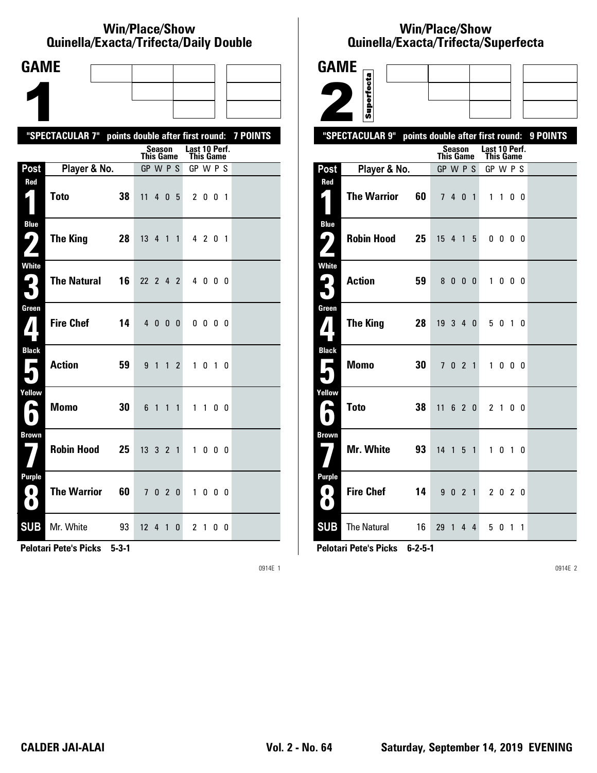#### **Win/Place/Show Qui nel la/Exacta/Tri fecta/Daily Dou ble**

| <b>GAME</b>                                     |                                                           |    |                  |         |                |   |                            |           |    |  |
|-------------------------------------------------|-----------------------------------------------------------|----|------------------|---------|----------------|---|----------------------------|-----------|----|--|
|                                                 |                                                           |    |                  |         |                |   |                            |           |    |  |
|                                                 |                                                           |    |                  |         |                |   |                            |           |    |  |
|                                                 | "SPECTACULAR 7" points double after first round: 7 POINTS |    |                  |         |                |   |                            |           |    |  |
|                                                 |                                                           |    | <b>This Game</b> | Season  |                |   | Last 10 Perf.<br>This Game |           |    |  |
| Post                                            | Player & No.                                              |    | GP W P S         |         |                |   | GP W P S                   |           |    |  |
| Red                                             | <b>Toto</b>                                               | 38 | 11               |         | 4 0 5          |   |                            | 2 0 0 1   |    |  |
| <b>Blue</b><br>5<br>$\overline{\phantom{a}}$    | The King                                                  | 28 | 13 4 1 1         |         |                |   |                            | 4 2 0 1   |    |  |
| <b>White</b><br>3                               | <b>The Natural</b>                                        | 16 | 22 2 4 2         |         |                |   |                            | 4000      |    |  |
| Green<br>$\boldsymbol{I}$                       | <b>Fire Chef</b>                                          | 14 |                  | 4 0 0 0 |                |   |                            | 0000      |    |  |
| <b>Black</b><br>$\blacksquare$                  | <b>Action</b>                                             | 59 | 9 <sub>1</sub>   |         | 1 <sub>2</sub> |   |                            | 1010      |    |  |
| Yellow<br>A                                     | <b>Momo</b>                                               | 30 | 6 1              |         | $1\quad1$      |   |                            | $1\quad1$ | 00 |  |
| <b>Brown</b>                                    | <b>Robin Hood</b>                                         | 25 | 13 3 2 1         |         |                |   |                            | 1000      |    |  |
| <b>Purple</b><br>$\mathbf{O}$<br>$\blacksquare$ | <b>The Warrior</b>                                        | 60 |                  | 7 0 2 0 |                |   |                            | 1000      |    |  |
| <b>SUB</b>                                      | Mr. White                                                 | 93 | 12 <sup>2</sup>  |         | 4 1            | 0 |                            | 2 1       | 00 |  |

**Pelotari Pete's Picks 5-3-1**

0914E 1

# **Win/Place/Show Qui nel la/Exacta/Tri fecta/Super fecta**

| <b>GAME</b>                                          |                                                  |                                   |                       |                   |          |
|------------------------------------------------------|--------------------------------------------------|-----------------------------------|-----------------------|-------------------|----------|
|                                                      | Superfecta                                       |                                   |                       |                   |          |
|                                                      |                                                  |                                   |                       |                   |          |
|                                                      |                                                  |                                   |                       |                   |          |
|                                                      | "SPECTACULAR 9" points double after first round: | Season                            | Last 10 Perf.         |                   | 9 POINTS |
| Post                                                 | Player & No.                                     | <b>This Game</b><br>GP W P S      | This Game<br>GP W P S |                   |          |
| Red                                                  |                                                  |                                   |                       |                   |          |
|                                                      | <b>The Warrior</b><br>60                         | 7 4 0 1                           | $1\quad1$             | 00                |          |
| <b>Blue</b><br>$\mathbf{\mathbf{\mathsf{\omega}}}$ ) | <b>Robin Hood</b><br>25                          | 15 4 1 5                          | $0\,0\,0\,0$          |                   |          |
| <b>White</b><br>$\mathbf{G}_\parallel$               | <b>Action</b><br>59                              | 8000                              | $\mathbf{1}$          | $0\quad 0\quad 0$ |          |
| Green<br>${\bf Z}$                                   | <b>The King</b><br>28                            | 19 3 4 0                          | 5 0 1 0               |                   |          |
| <b>Black</b><br>П                                    | 30<br><b>Momo</b>                                | 7 0 2 1                           | $\mathbf{1}$          | $0\quad 0\quad 0$ |          |
| Yellow<br>یم                                         | <b>Toto</b><br>38                                | 11<br>6 2 0                       | 2 1 0 0               |                   |          |
| <b>Brown</b>                                         | <b>Mr. White</b><br>93                           | 14 <sub>1</sub><br>5 <sub>1</sub> | 1 0 1 0               |                   |          |
| Purple<br>0.<br>$\bullet$                            | <b>Fire Chef</b><br>14                           | 9 0 2 1                           | 2 0 2 0               |                   |          |
| <b>SUB</b>                                           | <b>The Natural</b><br>16                         | 29 1 4 4                          | 5 0 1 1               |                   |          |

**Pelotari Pete's Picks 6-2-5-1**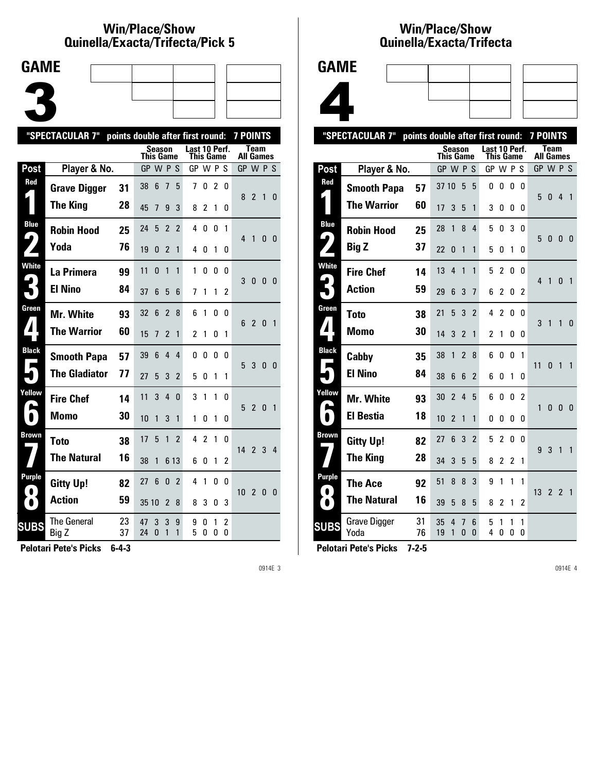#### **Win/Place/Show Qui nel la/Exacta/Tri fecta/Pick 5**



|                                      | "SPECTACULAR 7"      | points double after first round: |                  |        |                |                |                            | <b>7 POINTS</b> |                |              |                  |                |              |                |
|--------------------------------------|----------------------|----------------------------------|------------------|--------|----------------|----------------|----------------------------|-----------------|----------------|--------------|------------------|----------------|--------------|----------------|
|                                      |                      |                                  | <b>This Game</b> | Season |                |                | Last 10 Perf.<br>This Game |                 |                |              | <b>All Games</b> | <b>Team</b>    |              |                |
| Post                                 | Player & No.         |                                  | GP W P S         |        |                |                | GP W P                     |                 |                | S            | GP W P S         |                |              |                |
| Red                                  | <b>Grave Digger</b>  | 31                               | 38               | 6      | 7              | 5              | 7                          | 0               | $\overline{2}$ | 0            | 8                | $\mathfrak{p}$ | $\mathbf{1}$ | 0              |
|                                      | <b>The King</b>      | 28                               | 45               | 7      | 9              | 3              | 8                          | 2               | 1              | 0            |                  |                |              |                |
| <b>Blue</b><br>$\blacktriangleright$ | <b>Robin Hood</b>    | 25                               | 24               | 5      | $\overline{2}$ | $\mathfrak{p}$ | 4                          | 0               | 0              | 1            | 4                | $\mathbf{1}$   | $\mathbf{0}$ | 0              |
|                                      | Yoda                 | 76                               | 19               | 0      | $\overline{2}$ | 1              | 4                          | 0               | 1              | 0            |                  |                |              |                |
| <b>White</b>                         | La Primera           | 99                               | 11               | 0      | 1              | 1              | 1                          | 0               | 0              | 0            | 3                | 0              | $\mathbf{0}$ | 0              |
|                                      | <b>El Nino</b>       | 84                               | 37               | 6      | 5              | 6              | 7                          | 1               | 1              | 2            |                  |                |              |                |
| Green                                | Mr. White            | 93                               | 32               | 6      | $\overline{2}$ | 8              | 6                          | 1               | $\Omega$       | <sup>0</sup> | 6                | $\mathfrak{p}$ | $\mathbf{0}$ | $\overline{1}$ |
| $\blacktriangle$                     | <b>The Warrior</b>   | 60                               | 15               | 7      | 2              | 1              | 2                          | 1               | 0              | 1            |                  |                |              |                |
| <b>Black</b>                         | <b>Smooth Papa</b>   | 57                               | 39               | 6      | 4              | 4              | 0                          | 0               | 0              | <sup>0</sup> | 5                | 3              | $\Omega$     | $\Omega$       |
|                                      | <b>The Gladiator</b> | 77                               | 27               | 5      | 3              | $\mathfrak{p}$ | 5                          | 0               | 1              | 1            |                  |                |              |                |
| Yellow                               | <b>Fire Chef</b>     | 14                               | 11               | 3      | 4              | $\Omega$       | 3                          | 1               | 1              | U            | 5                | $\overline{2}$ | $\Omega$     | $\mathbf{1}$   |
| $\bullet$                            | <b>Momo</b>          | 30                               | 10               | 1      | 3              | 1              | 1                          | 0               | 1              | 0            |                  |                |              |                |
| Brown                                | <b>Toto</b>          | 38                               | 17               | 5      | $\mathbf{1}$   | $\mathfrak{p}$ | 4                          | $\overline{c}$  | 1              | 0            | 14 <sub>2</sub>  |                | 3            | 4              |
|                                      | <b>The Natural</b>   | 16                               | 38               | 1      | 6 13           |                | 6                          | 0               | 1              | 2            |                  |                |              |                |
| Purple<br>$\bullet$                  | <b>Gitty Up!</b>     | 82                               | 27               | 6      | 0              | 2              | 4                          | 1               | $\Omega$       | 0            | 10               | $\overline{2}$ | $\mathbf{0}$ | 0              |
| $\bullet$ 1                          | <b>Action</b>        | 59                               | 35 10            |        | $\overline{2}$ | 8              | 8                          | 3               | 0              | 3            |                  |                |              |                |
| <b>SUBS</b>                          | The General<br>Big Z | 23<br>37                         | 47<br>24         | 3<br>0 | 3<br>1         | 9<br>1         | 9<br>5                     | 0<br>0          | 1<br>0         | 2<br>0       |                  |                |              |                |

**Pelotari Pete's Picks 6-4-3**

0914E 3

#### **Win/Place/Show Qui nel la/Exacta/Tri fecta**



|                                      | "SPECTACULAR 7"             | points double after first round: |           |                          |                          |                   |               |                |        |                | <b>7 POINTS</b> |                                 |              |                |
|--------------------------------------|-----------------------------|----------------------------------|-----------|--------------------------|--------------------------|-------------------|---------------|----------------|--------|----------------|-----------------|---------------------------------|--------------|----------------|
|                                      |                             |                                  | This Game | Season                   |                          |                   | Last 10 Perf. | This Game      |        |                |                 | <b>Team</b><br><b>All Games</b> |              |                |
| <b>Post</b>                          | Player & No.                |                                  | GP W P S  |                          |                          |                   | GP W P S      |                |        |                | GP W P S        |                                 |              |                |
| Red                                  | <b>Smooth Papa</b>          | 57                               | 37 10     |                          | 5                        | 5                 | 0             | 0              | 0      | 0              | 5               | $\mathbf{0}$                    | 4            | $\overline{1}$ |
|                                      | <b>The Warrior</b>          | 60                               | 17        | 3                        | 5                        | 1                 | 3             | 0              | 0      | 0              |                 |                                 |              |                |
| <b>Blue</b><br>$\blacktriangleright$ | <b>Robin Hood</b>           | 25                               | 28        | 1                        | 8                        | 4                 | 5             | 0              | 3      | 0              | 5               | $\mathbf{0}$                    | 0            |                |
|                                      | <b>Big Z</b>                | 37                               | 22        | 0                        | 1                        | 1                 | 5             | 0              | 1      | 0              |                 |                                 |              | - 0            |
| <b>White</b>                         | <b>Fire Chef</b>            | 14                               | 13        | 4                        | 1                        | 1                 | 5             | $\overline{c}$ | 0      | 0              | 4               | 1                               | $\mathbf{0}$ | $\overline{1}$ |
|                                      | <b>Action</b>               | 59                               | 29        | 6                        | 3                        | $\overline{1}$    | 6             | 2              | 0      | 2              |                 |                                 |              |                |
| Green                                | Toto                        | 38                               | 21        | 5                        | 3                        | $\overline{2}$    | 4             | 2              | 0      | U              | 3               | 1                               | 1            | $\bf{0}$       |
| $\boldsymbol{\mathcal{A}}$           | <b>Momo</b>                 | 30                               | 14        | 3                        | $\mathfrak z$            | 1                 | 2             | 1              | 0      | 0              |                 |                                 |              |                |
| <b>Black</b><br>L                    | Cabby                       | 35                               | 38        | 1                        | $\overline{\phantom{a}}$ | 8                 | 6             | 0              | 0      | 1              | 11              | $\mathbf{0}$                    | $\mathbf{1}$ | $\mathbf{1}$   |
|                                      | <b>El Nino</b>              | 84                               | 38        | 6                        | 6                        | $\overline{2}$    | 6             | 0              | 1      | 0              |                 |                                 |              |                |
| Yellow                               | <b>Mr. White</b>            | 93                               | 30        | $\overline{2}$           | 4                        | 5                 | 6             | 0              | 0      | $\overline{2}$ | 1               | $\mathbf{0}$                    | $\mathbf{0}$ | 0              |
|                                      | <b>El Bestia</b>            | 18                               | 10        | $\overline{\phantom{a}}$ | 1                        | 1                 | 0             | 0              | 0      | 0              |                 |                                 |              |                |
| <b>Brown</b>                         | <b>Gitty Up!</b>            | 82                               | 27        | 6                        | 3                        | $\overline{2}$    | 5             | $\overline{c}$ | 0      | 0              | 9               | 3                               | $\mathbf{1}$ | 1              |
|                                      | <b>The King</b>             | 28                               | 34        | 3                        | 5                        | 5                 | 8             | 2              | 2      | 1              |                 |                                 |              |                |
| Purple                               | The Ace                     | 92                               | 51        | 8                        | 8                        | 3                 | 9             | 1              | 1      | 1              | 13              |                                 |              |                |
| $\bullet$                            | <b>The Natural</b>          | 16                               | 39        | 5                        | 8                        | 5                 | 8             | 2              | 1      | $\overline{c}$ |                 | 2 <sub>2</sub>                  |              | $\overline{1}$ |
| <b>SUBS</b>                          | <b>Grave Digger</b><br>Yoda | 31<br>76                         | 35<br>19  | 4<br>1                   | 7<br>0                   | 6<br>$\mathbf{0}$ | 5<br>4        | 1<br>0         | 1<br>0 | 1<br>0         |                 |                                 |              |                |
|                                      |                             |                                  |           |                          |                          |                   |               |                |        |                |                 |                                 |              |                |

**Pelotari Pete's Picks 7-2-5**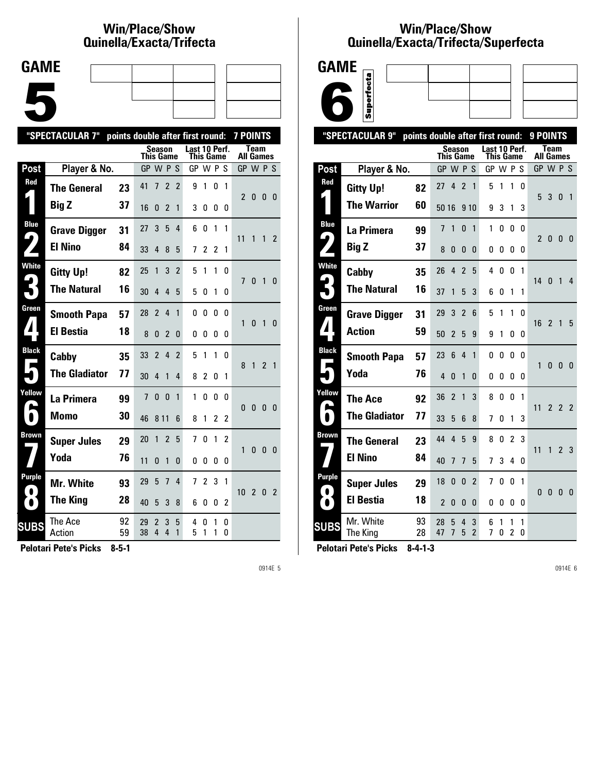# **Win/Place/Show Qui nel la/Exacta/Tri fecta**



|                  | "SPECTACULAR 7"      |          |                  |                          |                | points double after first round: |                            |                |                | 7 POINTS       |                  |                |                |                |
|------------------|----------------------|----------|------------------|--------------------------|----------------|----------------------------------|----------------------------|----------------|----------------|----------------|------------------|----------------|----------------|----------------|
|                  |                      |          | <b>This Game</b> |                          | <b>Season</b>  |                                  | Last 10 Perf.<br>This Game |                |                |                | <b>All Games</b> | <b>Team</b>    |                |                |
| Post             | Player & No.         |          | GP W P S         |                          |                |                                  | GP W P S                   |                |                |                | GP W P S         |                |                |                |
| Red              | <b>The General</b>   | 23       | 41               | 7                        | $\overline{2}$ | 2                                | 9                          | 1              | 0              | $\mathbf{1}$   | $\mathfrak{p}$   | 0              | 0              | - 0            |
|                  | <b>Big Z</b>         | 37       | 16               | 0                        | $\overline{2}$ | 1                                | 3                          | 0              | 0              | 0              |                  |                |                |                |
| <b>Blue</b><br>4 | <b>Grave Digger</b>  | 31       | 27               | 3                        | 5              | 4                                | 6                          | 0              | 1              | 1              | 11               | 1              |                | $1\quad2$      |
|                  | <b>El Nino</b>       | 84       | 33               | 4                        | 8              | 5                                | 7                          | $\overline{c}$ | $\overline{c}$ | 1              |                  |                |                |                |
| <b>White</b>     | <b>Gitty Up!</b>     | 82       | 25               | 1                        | 3              | $\overline{\phantom{a}}$         | 5                          | 1              | 1              | U              | 7                | $\Omega$       | 1              | $\Omega$       |
|                  | <b>The Natural</b>   | 16       | 30               | 4                        | 4              | 5                                | 5                          | 0              | 1              | 0              |                  |                |                |                |
| Green            | <b>Smooth Papa</b>   | 57       | 28               | $\overline{\phantom{a}}$ | 4              | $\mathbf{1}$                     | 0                          | 0              | $\mathbf{0}$   | $\Omega$       | 1                | $\mathbf{0}$   | 1              | $\Omega$       |
|                  | <b>El Bestia</b>     | 18       | 8                | $\Omega$                 | $\overline{2}$ | 0                                | 0                          | 0              | 0              | 0              |                  |                |                |                |
| <b>Black</b>     | Cabby                | 35       | 33               | $\overline{2}$           | $\overline{4}$ | $\mathfrak z$                    | 5                          | 1              | 1              | <sub>0</sub>   | 8                | $\mathbf{1}$   | $\overline{2}$ | $\overline{1}$ |
|                  | <b>The Gladiator</b> | 77       | 30               | 4                        | 1              | 4                                | 8                          | $\overline{c}$ | 0              | 1              |                  |                |                |                |
| Yellow           | La Primera           | 99       | 7                | $\Omega$                 | $\mathbf{0}$   | 1                                | 1                          | 0              | 0              | 0              | 0                | $\bf{0}$       | $\bf{0}$       | - 0            |
| $\bullet$        | Momo                 | 30       | 46               | 8 1 1                    |                | 6                                | 8                          | 1              | $\overline{2}$ | $\overline{c}$ |                  |                |                |                |
| <b>Brown</b>     | <b>Super Jules</b>   | 29       | 20               | 1                        | $\overline{2}$ | 5                                | 7                          | 0              | 1              | 2              | 1                | 0              | $\mathbf{0}$   | - 0            |
|                  | Yoda                 | 76       | 11               | 0                        | 1              | 0                                | 0                          | 0              | 0              | 0              |                  |                |                |                |
| Purple           | Mr. White            | 93       | 29               | 5                        | $\overline{7}$ | 4                                | 7                          | $\overline{c}$ | 3              | 1              | 10               | $\overline{2}$ | $\mathbf{0}$   | $\overline{2}$ |
| $\bullet$        | <b>The King</b>      | 28       | 40               | 5                        | 3              | 8                                | 6                          | 0              | 0              | 2              |                  |                |                |                |
| <b>SUBS</b>      | The Ace<br>Action    | 92<br>59 | 29<br>38         | 2<br>4                   | 3<br>4         | 5<br>1                           | 4<br>5                     | 0<br>1         | 1<br>1         | 0<br>0         |                  |                |                |                |
|                  |                      |          |                  |                          |                |                                  |                            |                |                |                |                  |                |                |                |

**Pelotari Pete's Picks 8-5-1**

0914E 5

## **Win/Place/Show Qui nel la/Exacta/Tri fecta/Super fecta**



|                      | "SPECTACULAR 9"       | points double after first round: |                |                |                          |                         |                                   |        |                     |          | 9 POINTS         |                |                |                |
|----------------------|-----------------------|----------------------------------|----------------|----------------|--------------------------|-------------------------|-----------------------------------|--------|---------------------|----------|------------------|----------------|----------------|----------------|
|                      |                       |                                  | This Game      | <b>Season</b>  |                          |                         | Last 10 Perf.<br><b>This Game</b> |        |                     |          | <b>All Games</b> | Team           |                |                |
| Post                 | Player & No.          |                                  | GP W P S       |                |                          |                         | GP W P S                          |        |                     |          | GP W P S         |                |                |                |
| Red                  | <b>Gitty Up!</b>      | 82                               | 27             | 4              | $\overline{2}$           | $\overline{\mathbf{1}}$ | 5                                 | 1      | 1                   | 0        |                  | 3              |                |                |
|                      | <b>The Warrior</b>    | 60                               | 50 16          |                |                          | 9 10                    | 9                                 | 3      | 1                   | 3        | 5                |                | $\mathbf{0}$   | $\overline{1}$ |
| <b>Blue</b>          | La Primera            | 99                               | 7              | 1              | 0                        | 1                       | 1                                 | 0      | 0                   | 0        |                  |                |                |                |
| $\blacklozenge$      | <b>Big Z</b>          | 37                               | 8              | 0              | 0                        | 0                       | 0                                 | 0      | 0                   | $\Omega$ | $\overline{2}$   | $\bf{0}$       | $\mathbf{0}$   | - 0            |
| <b>White</b>         | Cabby                 | 35                               | 26             | 4              | $\overline{\phantom{a}}$ | 5                       | 4                                 | 0      | 0                   | 1        | 14               | $\mathbf{0}$   | $\overline{1}$ | 4              |
|                      | <b>The Natural</b>    | 16                               | 37             | 1              | 5                        | 3                       | 6                                 | 0      | 1                   | 1        |                  |                |                |                |
| Green                | <b>Grave Digger</b>   | 31                               | 29             | 3              | $\overline{\phantom{a}}$ | 6                       | 5                                 | 1      | 1                   | 0        | 16               | $\overline{2}$ | $\overline{1}$ | 5              |
| $\blacksquare$       | <b>Action</b>         | 59                               | 50             | 2              | 5                        | 9                       | 9                                 | 1      | 0                   | 0        |                  |                |                |                |
| <b>Black</b>         | <b>Smooth Papa</b>    | 57                               | 23             | 6              | 4                        | 1                       | 0                                 | 0      | 0                   | 0        | 1                | $\mathbf{0}$   | $\mathbf{0}$   | 0              |
|                      | Yoda                  | 76                               | 4              | 0              | 1                        | 0                       | 0                                 | 0      | 0                   | 0        |                  |                |                |                |
| Yellow               | The Ace               | 92                               | 36             | $\overline{2}$ | 1                        | 3                       | 8                                 | 0      | $\mathbf{0}$        | 1        | 11               | $\overline{2}$ | $\overline{2}$ | $\overline{2}$ |
|                      | <b>The Gladiator</b>  | 77                               | 33             | 5              | 6                        | 8                       | 7                                 | 0      | 1                   | 3        |                  |                |                |                |
| <b>Brown</b>         | <b>The General</b>    | 23                               | 44             | 4              | 5                        | 9                       | 8                                 | 0      | 2                   | 3        | 11               | $\mathbf{1}$   | $\overline{2}$ | 3              |
|                      | <b>El Nino</b>        | 84                               | 40             | 7              | 7                        | 5                       | 7                                 | 3      | 4                   | 0        |                  |                |                |                |
| <b>Purple</b><br>. . | <b>Super Jules</b>    | 29                               | 18             | 0              | 0                        | $\overline{2}$          | 7                                 | 0      | 0                   | 1        | $\Omega$         | $\mathbf{0}$   | $\overline{0}$ | - 0            |
| $\bullet$            | <b>El Bestia</b>      | 18                               | $\overline{2}$ | 0              | 0                        | 0                       | 0                                 | 0      | 0                   | 0        |                  |                |                |                |
| <b>SUBS</b>          | Mr. White<br>The King | 93<br>28                         | 28<br>47       | 5<br>7         | 4<br>5                   | 3<br>$\overline{2}$     | 6<br>7                            | 1<br>O | 1<br>$\overline{c}$ | 1<br>0   |                  |                |                |                |
|                      |                       |                                  |                |                |                          |                         |                                   |        |                     |          |                  |                |                |                |

**Pelotari Pete's Picks 8-4-1-3**